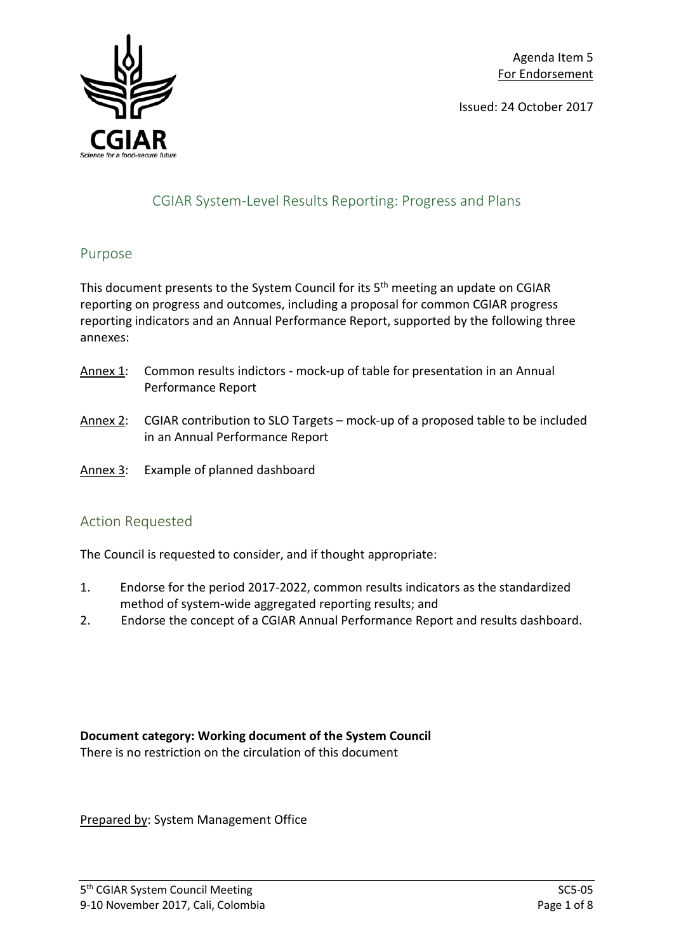Issued: 24 October 2017



# CGIAR System-Level Results Reporting: Progress and Plans

#### Purpose

This document presents to the System Council for its 5<sup>th</sup> meeting an update on CGIAR reporting on progress and outcomes, including a proposal for common CGIAR progress reporting indicators and an Annual Performance Report, supported by the following three annexes:

- Annex 1: Common results indictors mock-up of table for presentation in an Annual Performance Report
- Annex 2: CGIAR contribution to SLO Targets mock-up of a proposed table to be included in an Annual Performance Report
- Annex 3: Example of planned dashboard

# Action Requested

The Council is requested to consider, and if thought appropriate:

- 1. Endorse for the period 2017-2022, common results indicators as the standardized method of system-wide aggregated reporting results; and
- 2. Endorse the concept of a CGIAR Annual Performance Report and results dashboard.

# **Document category: Working document of the System Council**

There is no restriction on the circulation of this document

Prepared by: System Management Office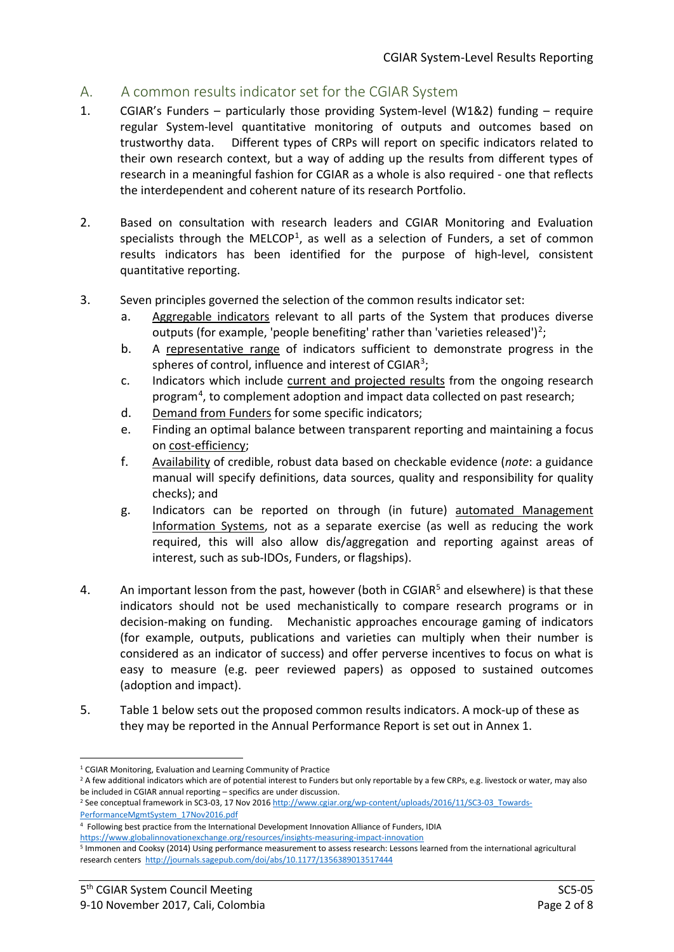### A. A common results indicator set for the CGIAR System

- 1. CGIAR's Funders particularly those providing System-level (W1&2) funding require regular System-level quantitative monitoring of outputs and outcomes based on trustworthy data. Different types of CRPs will report on specific indicators related to their own research context, but a way of adding up the results from different types of research in a meaningful fashion for CGIAR as a whole is also required - one that reflects the interdependent and coherent nature of its research Portfolio.
- 2. Based on consultation with research leaders and CGIAR Monitoring and Evaluation specialists through the MELCOP<sup>[1](#page-1-0)</sup>, as well as a selection of Funders, a set of common results indicators has been identified for the purpose of high-level, consistent quantitative reporting.
- 3. Seven principles governed the selection of the common results indicator set:
	- a. Aggregable indicators relevant to all parts of the System that produces diverse outputs (for example, 'people benefiting' rather than 'varieties released')<sup>[2](#page-1-1)</sup>;
	- b. A representative range of indicators sufficient to demonstrate progress in the spheres of control, influence and interest of CGIAR<sup>[3](#page-1-2)</sup>;
	- c. Indicators which include current and projected results from the ongoing research program<sup>[4](#page-1-3)</sup>, to complement adoption and impact data collected on past research;
	- d. Demand from Funders for some specific indicators;
	- e. Finding an optimal balance between transparent reporting and maintaining a focus on cost-efficiency;
	- f. Availability of credible, robust data based on checkable evidence (*note*: a guidance manual will specify definitions, data sources, quality and responsibility for quality checks); and
	- g. Indicators can be reported on through (in future) automated Management Information Systems, not as a separate exercise (as well as reducing the work required, this will also allow dis/aggregation and reporting against areas of interest, such as sub-IDOs, Funders, or flagships).
- 4. An important lesson from the past, however (both in CGIAR<sup>[5](#page-1-4)</sup> and elsewhere) is that these indicators should not be used mechanistically to compare research programs or in decision-making on funding. Mechanistic approaches encourage gaming of indicators (for example, outputs, publications and varieties can multiply when their number is considered as an indicator of success) and offer perverse incentives to focus on what is easy to measure (e.g. peer reviewed papers) as opposed to sustained outcomes (adoption and impact).
- 5. Table 1 below sets out the proposed common results indicators. A mock-up of these as they may be reported in the Annual Performance Report is set out in Annex 1.

<span id="page-1-1"></span><span id="page-1-0"></span><sup>&</sup>lt;sup>1</sup> CGIAR Monitoring, Evaluation and Learning Community of Practice<br><sup>2</sup> A few additional indicators which are of potential interest to Funders but only reportable by a few CRPs, e.g. livestock or water, may also be included in CGIAR annual reporting – specifics are under discussion.<br><sup>2</sup> See conceptual framework in SC3-03, 17 Nov 201[6 http://www.cgiar.org/wp-content/uploads/2016/11/SC3-03\\_Towards-](http://www.cgiar.org/wp-content/uploads/2016/11/SC3-03_Towards-PerformanceMgmtSystem_17Nov2016.pdf)

<span id="page-1-2"></span>[PerformanceMgmtSystem\\_17Nov2016.pdf](http://www.cgiar.org/wp-content/uploads/2016/11/SC3-03_Towards-PerformanceMgmtSystem_17Nov2016.pdf)

<span id="page-1-3"></span><sup>4</sup> Following best practice from the International Development Innovation Alliance of Funders, IDIA

<https://www.globalinnovationexchange.org/resources/insights-measuring-impact-innovation>

<span id="page-1-4"></span><sup>5</sup> Immonen and Cooksy (2014) Using performance measurement to assess research: Lessons learned from the international agricultural research centers<http://journals.sagepub.com/doi/abs/10.1177/1356389013517444>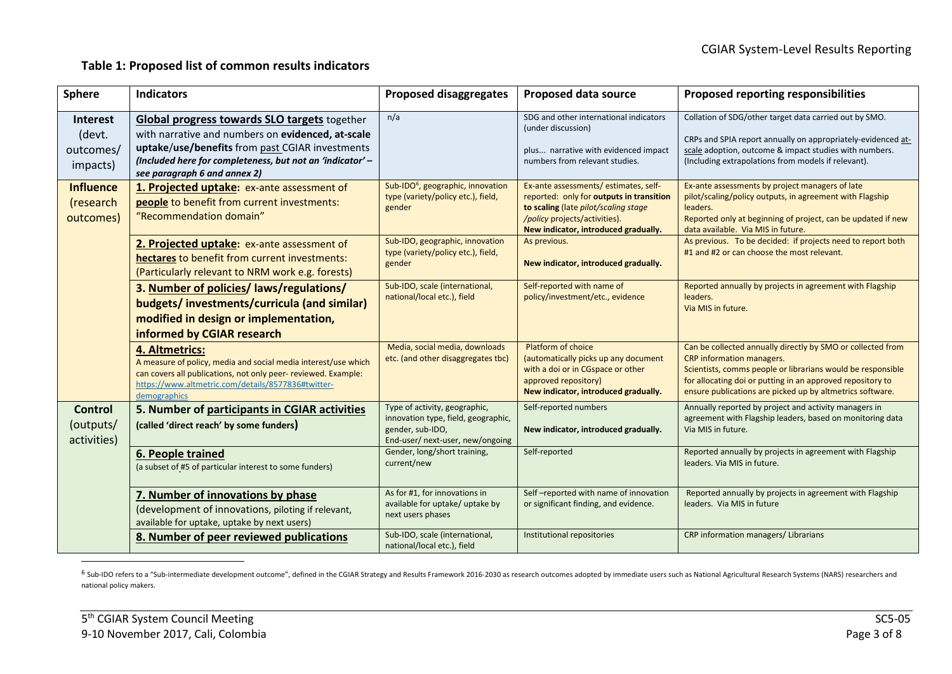#### <span id="page-2-0"></span>**Table 1: Proposed list of common results indicators**

| <b>Sphere</b>                               | <b>Indicators</b>                                                                                                                                                                                                                                 | <b>Proposed disaggregates</b>                                                                                                | <b>Proposed data source</b>                                                                                                                                                                       | <b>Proposed reporting responsibilities</b>                                                                                                                                                                                                                                         |
|---------------------------------------------|---------------------------------------------------------------------------------------------------------------------------------------------------------------------------------------------------------------------------------------------------|------------------------------------------------------------------------------------------------------------------------------|---------------------------------------------------------------------------------------------------------------------------------------------------------------------------------------------------|------------------------------------------------------------------------------------------------------------------------------------------------------------------------------------------------------------------------------------------------------------------------------------|
| Interest<br>(devt.<br>outcomes/<br>impacts) | Global progress towards SLO targets together<br>with narrative and numbers on evidenced, at-scale<br>uptake/use/benefits from past CGIAR investments<br>(Included here for completeness, but not an 'indicator' -<br>see paragraph 6 and annex 2) | n/a                                                                                                                          | SDG and other international indicators<br>(under discussion)<br>plus narrative with evidenced impact<br>numbers from relevant studies.                                                            | Collation of SDG/other target data carried out by SMO.<br>CRPs and SPIA report annually on appropriately-evidenced at-<br>scale adoption, outcome & impact studies with numbers.<br>(Including extrapolations from models if relevant).                                            |
| <b>Influence</b><br>(research<br>outcomes)  | 1. Projected uptake: ex-ante assessment of<br>people to benefit from current investments:<br>"Recommendation domain"                                                                                                                              | Sub-IDO <sup>6</sup> , geographic, innovation<br>type (variety/policy etc.), field,<br>gender                                | Ex-ante assessments/estimates, self-<br>reported: only for outputs in transition<br>to scaling (late pilot/scaling stage<br>/policy projects/activities).<br>New indicator, introduced gradually. | Ex-ante assessments by project managers of late<br>pilot/scaling/policy outputs, in agreement with Flagship<br>leaders.<br>Reported only at beginning of project, can be updated if new<br>data available. Via MIS in future.                                                      |
|                                             | 2. Projected uptake: ex-ante assessment of<br>hectares to benefit from current investments:<br>(Particularly relevant to NRM work e.g. forests)                                                                                                   | Sub-IDO, geographic, innovation<br>type (variety/policy etc.), field,<br>gender                                              | As previous.<br>New indicator, introduced gradually.                                                                                                                                              | As previous. To be decided: if projects need to report both<br>#1 and #2 or can choose the most relevant.                                                                                                                                                                          |
|                                             | 3. Number of policies/ laws/regulations/<br>budgets/investments/curricula (and similar)<br>modified in design or implementation,<br>informed by CGIAR research                                                                                    | Sub-IDO, scale (international,<br>national/local etc.), field                                                                | Self-reported with name of<br>policy/investment/etc., evidence                                                                                                                                    | Reported annually by projects in agreement with Flagship<br>leaders.<br>Via MIS in future.                                                                                                                                                                                         |
|                                             | 4. Altmetrics:<br>A measure of policy, media and social media interest/use which<br>can covers all publications, not only peer- reviewed. Example:<br>https://www.altmetric.com/details/8577836#twitter-<br>demographics                          | Media, social media, downloads<br>etc. (and other disaggregates tbc)                                                         | Platform of choice<br>(automatically picks up any document<br>with a doi or in CGspace or other<br>approved repository)<br>New indicator, introduced gradually.                                   | Can be collected annually directly by SMO or collected from<br>CRP information managers.<br>Scientists, comms people or librarians would be responsible<br>for allocating doi or putting in an approved repository to<br>ensure publications are picked up by altmetrics software. |
| <b>Control</b><br>(outputs/<br>activities)  | 5. Number of participants in CGIAR activities<br>(called 'direct reach' by some funders)                                                                                                                                                          | Type of activity, geographic,<br>innovation type, field, geographic,<br>gender, sub-IDO,<br>End-user/ next-user, new/ongoing | Self-reported numbers<br>New indicator, introduced gradually.                                                                                                                                     | Annually reported by project and activity managers in<br>agreement with Flagship leaders, based on monitoring data<br>Via MIS in future.                                                                                                                                           |
|                                             | 6. People trained<br>(a subset of #5 of particular interest to some funders)                                                                                                                                                                      | Gender, long/short training,<br>current/new                                                                                  | Self-reported                                                                                                                                                                                     | Reported annually by projects in agreement with Flagship<br>leaders. Via MIS in future.                                                                                                                                                                                            |
|                                             | 7. Number of innovations by phase<br>(development of innovations, piloting if relevant,<br>available for uptake, uptake by next users)                                                                                                            | As for #1, for innovations in<br>available for uptake/ uptake by<br>next users phases                                        | Self-reported with name of innovation<br>or significant finding, and evidence.                                                                                                                    | Reported annually by projects in agreement with Flagship<br>leaders. Via MIS in future                                                                                                                                                                                             |
|                                             | 8. Number of peer reviewed publications                                                                                                                                                                                                           | Sub-IDO, scale (international,<br>national/local etc.), field                                                                | Institutional repositories                                                                                                                                                                        | CRP information managers/ Librarians                                                                                                                                                                                                                                               |

<sup>&</sup>lt;sup>6</sup> Sub-IDO refers to a "Sub-intermediate development outcome", defined in the CGIAR Strategy and Results Framework 2016-2030 as research outcomes adopted by immediate users such as National Agricultural Research Systems ( national policy makers.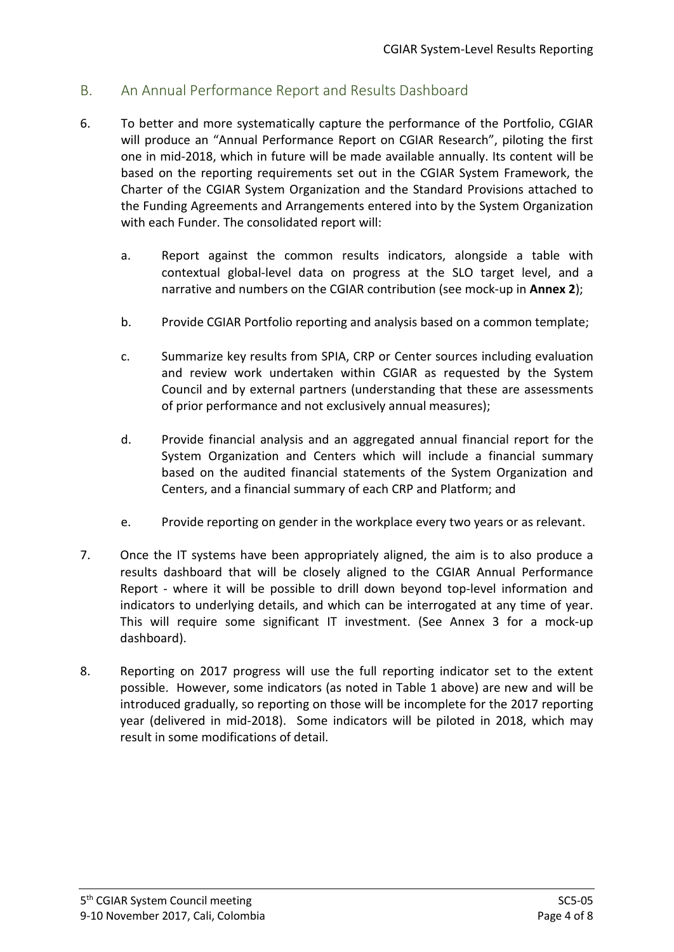# B. An Annual Performance Report and Results Dashboard

- 6. To better and more systematically capture the performance of the Portfolio, CGIAR will produce an "Annual Performance Report on CGIAR Research", piloting the first one in mid-2018, which in future will be made available annually. Its content will be based on the reporting requirements set out in the CGIAR System Framework, the Charter of the CGIAR System Organization and the Standard Provisions attached to the Funding Agreements and Arrangements entered into by the System Organization with each Funder. The consolidated report will:
	- a. Report against the common results indicators, alongside a table with contextual global-level data on progress at the SLO target level, and a narrative and numbers on the CGIAR contribution (see mock-up in **Annex 2**);
	- b. Provide CGIAR Portfolio reporting and analysis based on a common template;
	- c. Summarize key results from SPIA, CRP or Center sources including evaluation and review work undertaken within CGIAR as requested by the System Council and by external partners (understanding that these are assessments of prior performance and not exclusively annual measures);
	- d. Provide financial analysis and an aggregated annual financial report for the System Organization and Centers which will include a financial summary based on the audited financial statements of the System Organization and Centers, and a financial summary of each CRP and Platform; and
	- e. Provide reporting on gender in the workplace every two years or as relevant.
- 7. Once the IT systems have been appropriately aligned, the aim is to also produce a results dashboard that will be closely aligned to the CGIAR Annual Performance Report - where it will be possible to drill down beyond top-level information and indicators to underlying details, and which can be interrogated at any time of year. This will require some significant IT investment. (See Annex 3 for a mock-up dashboard).
- 8. Reporting on 2017 progress will use the full reporting indicator set to the extent possible. However, some indicators (as noted in Table 1 above) are new and will be introduced gradually, so reporting on those will be incomplete for the 2017 reporting year (delivered in mid-2018). Some indicators will be piloted in 2018, which may result in some modifications of detail.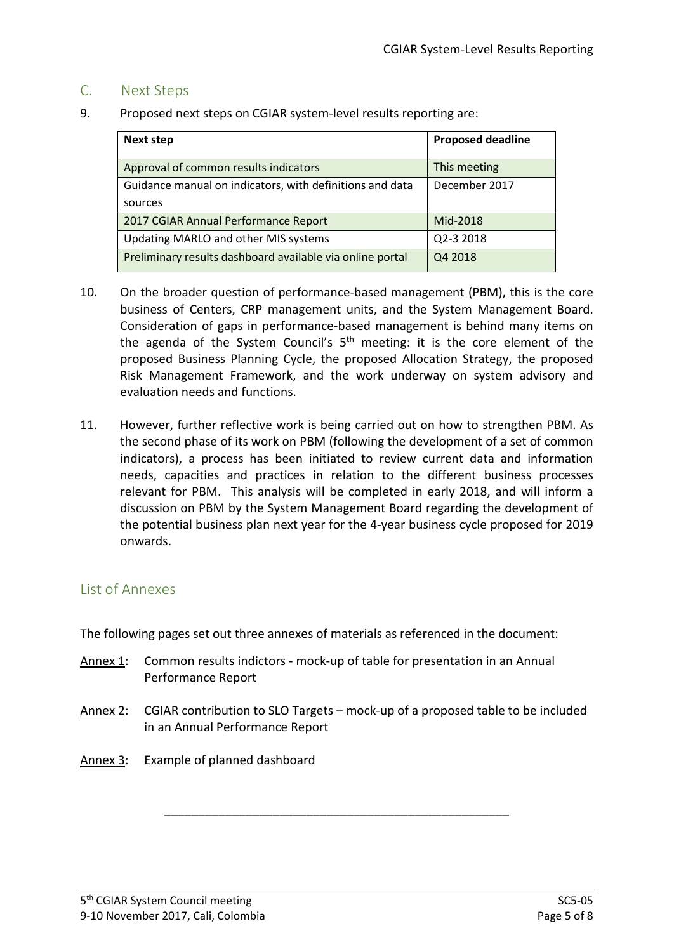#### C. Next Steps

9. Proposed next steps on CGIAR system-level results reporting are:

| <b>Next step</b>                                          | <b>Proposed deadline</b> |
|-----------------------------------------------------------|--------------------------|
| Approval of common results indicators                     | This meeting             |
| Guidance manual on indicators, with definitions and data  | December 2017            |
| sources                                                   |                          |
| 2017 CGIAR Annual Performance Report                      | Mid-2018                 |
| Updating MARLO and other MIS systems                      | Q2-3 2018                |
| Preliminary results dashboard available via online portal | Q4 2018                  |

- 10. On the broader question of performance-based management (PBM), this is the core business of Centers, CRP management units, and the System Management Board. Consideration of gaps in performance-based management is behind many items on the agenda of the System Council's 5<sup>th</sup> meeting: it is the core element of the proposed Business Planning Cycle, the proposed Allocation Strategy, the proposed Risk Management Framework, and the work underway on system advisory and evaluation needs and functions.
- 11. However, further reflective work is being carried out on how to strengthen PBM. As the second phase of its work on PBM (following the development of a set of common indicators), a process has been initiated to review current data and information needs, capacities and practices in relation to the different business processes relevant for PBM. This analysis will be completed in early 2018, and will inform a discussion on PBM by the System Management Board regarding the development of the potential business plan next year for the 4-year business cycle proposed for 2019 onwards.

#### List of Annexes

The following pages set out three annexes of materials as referenced in the document:

- Annex 1: Common results indictors mock-up of table for presentation in an Annual Performance Report
- Annex 2: CGIAR contribution to SLO Targets mock-up of a proposed table to be included in an Annual Performance Report

\_\_\_\_\_\_\_\_\_\_\_\_\_\_\_\_\_\_\_\_\_\_\_\_\_\_\_\_\_\_\_\_\_\_\_\_\_\_\_\_\_\_\_\_\_\_\_\_\_\_\_

Annex 3: Example of planned dashboard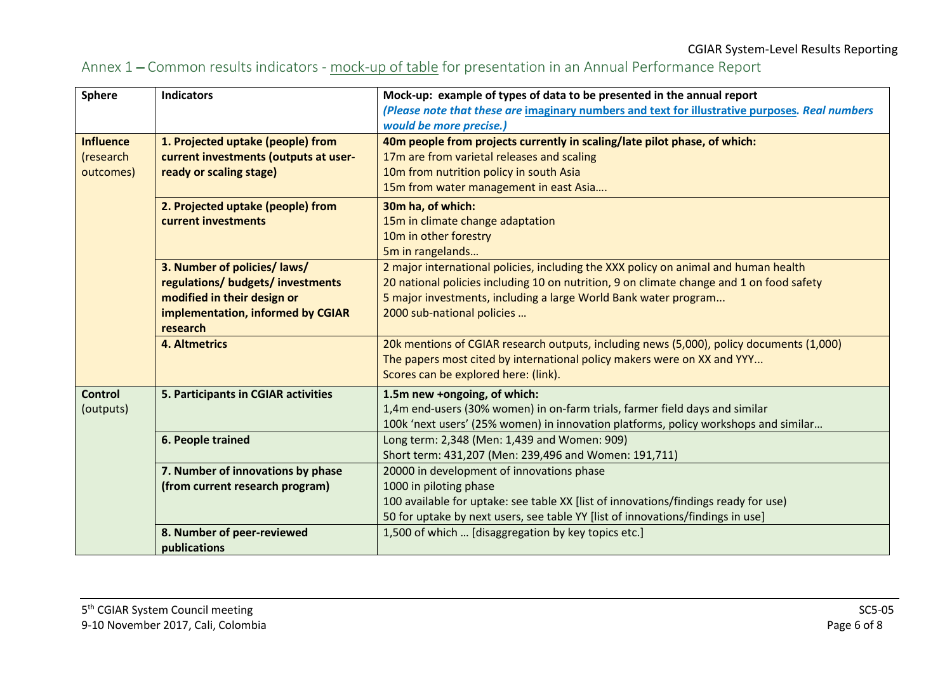# Annex 1 – Common results indicators - mock-up of table for presentation in an Annual Performance Report

| <b>Sphere</b>    | <b>Indicators</b>                     | Mock-up: example of types of data to be presented in the annual report                         |  |
|------------------|---------------------------------------|------------------------------------------------------------------------------------------------|--|
|                  |                                       | (Please note that these are imaginary numbers and text for illustrative purposes. Real numbers |  |
|                  |                                       | would be more precise.)                                                                        |  |
| <b>Influence</b> | 1. Projected uptake (people) from     | 40m people from projects currently in scaling/late pilot phase, of which:                      |  |
| (research        | current investments (outputs at user- | 17m are from varietal releases and scaling                                                     |  |
| outcomes)        | ready or scaling stage)               | 10m from nutrition policy in south Asia                                                        |  |
|                  |                                       | 15m from water management in east Asia                                                         |  |
|                  | 2. Projected uptake (people) from     | 30m ha, of which:                                                                              |  |
|                  | current investments                   | 15m in climate change adaptation                                                               |  |
|                  |                                       | 10m in other forestry                                                                          |  |
|                  |                                       | 5m in rangelands                                                                               |  |
|                  | 3. Number of policies/ laws/          | 2 major international policies, including the XXX policy on animal and human health            |  |
|                  | regulations/ budgets/ investments     | 20 national policies including 10 on nutrition, 9 on climate change and 1 on food safety       |  |
|                  | modified in their design or           | 5 major investments, including a large World Bank water program                                |  |
|                  | implementation, informed by CGIAR     | 2000 sub-national policies                                                                     |  |
|                  | research                              |                                                                                                |  |
|                  | <b>4. Altmetrics</b>                  | 20k mentions of CGIAR research outputs, including news (5,000), policy documents (1,000)       |  |
|                  |                                       | The papers most cited by international policy makers were on XX and YYY                        |  |
|                  |                                       | Scores can be explored here: (link).                                                           |  |
| <b>Control</b>   | 5. Participants in CGIAR activities   | 1.5m new +ongoing, of which:                                                                   |  |
| (outputs)        |                                       | 1,4m end-users (30% women) in on-farm trials, farmer field days and similar                    |  |
|                  |                                       | 100k 'next users' (25% women) in innovation platforms, policy workshops and similar            |  |
|                  | 6. People trained                     | Long term: 2,348 (Men: 1,439 and Women: 909)                                                   |  |
|                  |                                       | Short term: 431,207 (Men: 239,496 and Women: 191,711)                                          |  |
|                  | 7. Number of innovations by phase     | 20000 in development of innovations phase                                                      |  |
|                  | (from current research program)       | 1000 in piloting phase                                                                         |  |
|                  |                                       | 100 available for uptake: see table XX [list of innovations/findings ready for use)            |  |
|                  |                                       | 50 for uptake by next users, see table YY [list of innovations/findings in use]                |  |
|                  | 8. Number of peer-reviewed            | 1,500 of which  [disaggregation by key topics etc.]                                            |  |
|                  | publications                          |                                                                                                |  |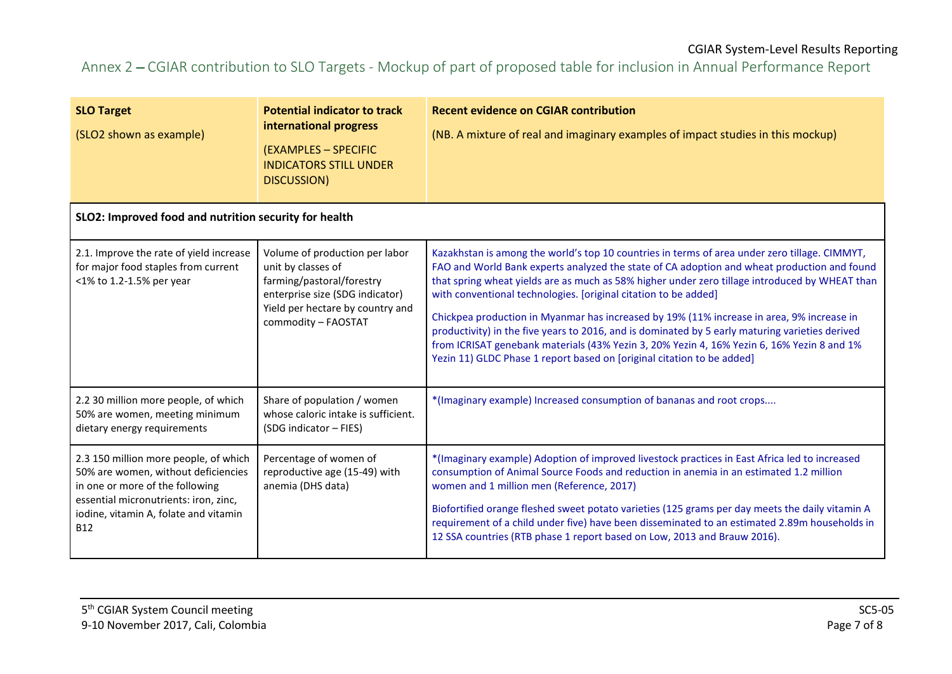#### CGIAR System-Level Results Reporting

# Annex 2 – CGIAR contribution to SLO Targets - Mockup of part of proposed table for inclusion in Annual Performance Report

| <b>SLO Target</b><br>(SLO2 shown as example)                                                                                                                                                                    | <b>Potential indicator to track</b><br>international progress<br>(EXAMPLES - SPECIFIC<br><b>INDICATORS STILL UNDER</b><br>DISCUSSION)                                           | <b>Recent evidence on CGIAR contribution</b><br>(NB. A mixture of real and imaginary examples of impact studies in this mockup)                                                                                                                                                                                                                                                                                                                                                                                                                                                                                                                                                                                                           |  |  |  |  |
|-----------------------------------------------------------------------------------------------------------------------------------------------------------------------------------------------------------------|---------------------------------------------------------------------------------------------------------------------------------------------------------------------------------|-------------------------------------------------------------------------------------------------------------------------------------------------------------------------------------------------------------------------------------------------------------------------------------------------------------------------------------------------------------------------------------------------------------------------------------------------------------------------------------------------------------------------------------------------------------------------------------------------------------------------------------------------------------------------------------------------------------------------------------------|--|--|--|--|
| SLO2: Improved food and nutrition security for health                                                                                                                                                           |                                                                                                                                                                                 |                                                                                                                                                                                                                                                                                                                                                                                                                                                                                                                                                                                                                                                                                                                                           |  |  |  |  |
| 2.1. Improve the rate of yield increase<br>for major food staples from current<br><1% to 1.2-1.5% per year                                                                                                      | Volume of production per labor<br>unit by classes of<br>farming/pastoral/forestry<br>enterprise size (SDG indicator)<br>Yield per hectare by country and<br>commodity - FAOSTAT | Kazakhstan is among the world's top 10 countries in terms of area under zero tillage. CIMMYT,<br>FAO and World Bank experts analyzed the state of CA adoption and wheat production and found<br>that spring wheat yields are as much as 58% higher under zero tillage introduced by WHEAT than<br>with conventional technologies. [original citation to be added]<br>Chickpea production in Myanmar has increased by 19% (11% increase in area, 9% increase in<br>productivity) in the five years to 2016, and is dominated by 5 early maturing varieties derived<br>from ICRISAT genebank materials (43% Yezin 3, 20% Yezin 4, 16% Yezin 6, 16% Yezin 8 and 1%<br>Yezin 11) GLDC Phase 1 report based on [original citation to be added] |  |  |  |  |
| 2.2 30 million more people, of which<br>50% are women, meeting minimum<br>dietary energy requirements                                                                                                           | Share of population / women<br>whose caloric intake is sufficient.<br>(SDG indicator - FIES)                                                                                    | *(Imaginary example) Increased consumption of bananas and root crops                                                                                                                                                                                                                                                                                                                                                                                                                                                                                                                                                                                                                                                                      |  |  |  |  |
| 2.3 150 million more people, of which<br>50% are women, without deficiencies<br>in one or more of the following<br>essential micronutrients: iron, zinc,<br>iodine, vitamin A, folate and vitamin<br><b>B12</b> | Percentage of women of<br>reproductive age (15-49) with<br>anemia (DHS data)                                                                                                    | *(Imaginary example) Adoption of improved livestock practices in East Africa led to increased<br>consumption of Animal Source Foods and reduction in anemia in an estimated 1.2 million<br>women and 1 million men (Reference, 2017)<br>Biofortified orange fleshed sweet potato varieties (125 grams per day meets the daily vitamin A<br>requirement of a child under five) have been disseminated to an estimated 2.89m households in<br>12 SSA countries (RTB phase 1 report based on Low, 2013 and Brauw 2016).                                                                                                                                                                                                                      |  |  |  |  |